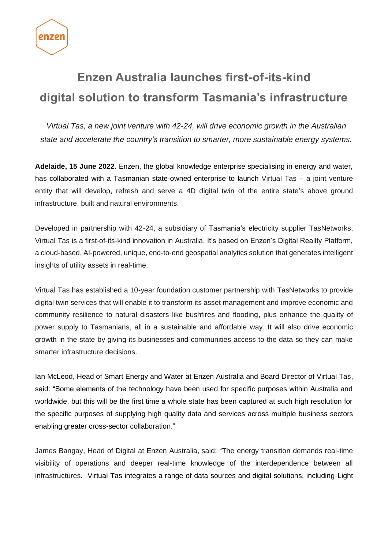

## **Enzen Australia launches first-of-its-kind digital solution to transform Tasmania's infrastructure**

*Virtual Tas, a new joint venture with 42-24, will drive economic growth in the Australian state and accelerate the country's transition to smarter, more sustainable energy systems.*

**Adelaide, 15 June 2022.** Enzen, the global knowledge enterprise specialising in energy and water, has collaborated with a Tasmanian state-owned enterprise to launch Virtual Tas – a joint venture entity that will develop, refresh and serve a 4D digital twin of the entire state's above ground infrastructure, built and natural environments.

Developed in partnership with 42-24, a subsidiary of Tasmania's electricity supplier TasNetworks, Virtual Tas is a first-of-its-kind innovation in Australia. It's based on Enzen's Digital Reality Platform, a cloud-based, AI-powered, unique, end-to-end geospatial analytics solution that generates intelligent insights of utility assets in real-time.

Virtual Tas has established a 10-year foundation customer partnership with TasNetworks to provide digital twin services that will enable it to transform its asset management and improve economic and community resilience to natural disasters like bushfires and flooding, plus enhance the quality of power supply to Tasmanians, all in a sustainable and affordable way. It will also drive economic growth in the state by giving its businesses and communities access to the data so they can make smarter infrastructure decisions.

Ian McLeod, Head of Smart Energy and Water at Enzen Australia and Board Director of Virtual Tas, said: "Some elements of the technology have been used for specific purposes within Australia and worldwide, but this will be the first time a whole state has been captured at such high resolution for the specific purposes of supplying high quality data and services across multiple business sectors enabling greater cross-sector collaboration."

James Bangay, Head of Digital at Enzen Australia, said: "The energy transition demands real-time visibility of operations and deeper real-time knowledge of the interdependence between all infrastructures. Virtual Tas integrates a range of data sources and digital solutions, including Light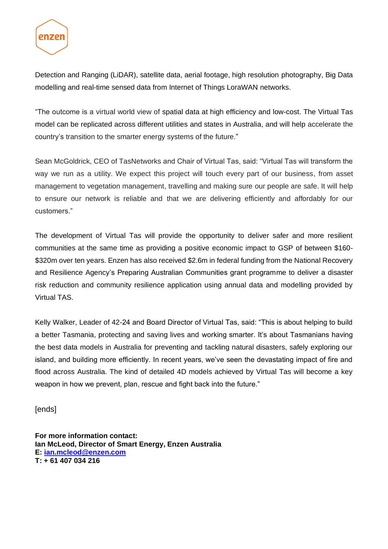

Detection and Ranging (LiDAR), satellite data, aerial footage, high resolution photography, Big Data modelling and real-time sensed data from Internet of Things LoraWAN networks.

"The outcome is a virtual world view of spatial data at high efficiency and low-cost. The Virtual Tas model can be replicated across different utilities and states in Australia, and will help accelerate the country's transition to the smarter energy systems of the future."

Sean McGoldrick, CEO of TasNetworks and Chair of Virtual Tas, said: "Virtual Tas will transform the way we run as a utility. We expect this project will touch every part of our business, from asset management to vegetation management, travelling and making sure our people are safe. It will help to ensure our network is reliable and that we are delivering efficiently and affordably for our customers."

The development of Virtual Tas will provide the opportunity to deliver safer and more resilient communities at the same time as providing a positive economic impact to GSP of between \$160- \$320m over ten years. Enzen has also received \$2.6m in federal funding from the National Recovery and Resilience Agency's Preparing Australian Communities grant programme to deliver a disaster risk reduction and community resilience application using annual data and modelling provided by Virtual TAS.

Kelly Walker, Leader of 42-24 and Board Director of Virtual Tas, said: "This is about helping to build a better Tasmania, protecting and saving lives and working smarter. It's about Tasmanians having the best data models in Australia for preventing and tackling natural disasters, safely exploring our island, and building more efficiently. In recent years, we've seen the devastating impact of fire and flood across Australia. The kind of detailed 4D models achieved by Virtual Tas will become a key weapon in how we prevent, plan, rescue and fight back into the future."

[ends]

**For more information contact: Ian McLeod, Director of Smart Energy, Enzen Australia E: [ian.mcleod@enzen.com](mailto:ian.mcleod@enzen.com) T: + 61 407 034 216**